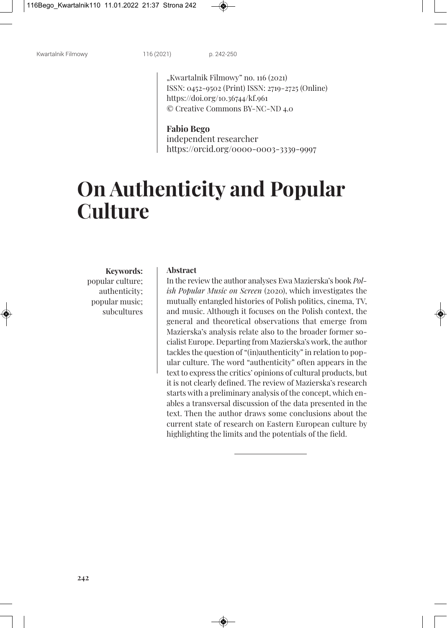"Kwartalnik Filmowy" no. 116 (2021) ISSN: 0452-9502 (Print) ISSN: 2719-2725 (Online) https://doi.org/10.36744/kf.961 © Creative Commons BY-NC-ND 4.0

### **Fabio Bego**

independent researcher https://orcid.org/0000-0003-3339-9997

# **On Authenticity and Popular Culture**

**Keywords:** popular culture; authenticity; popular music; subcultures

#### **Abstract**

In the review the author analyses Ewa Mazierska's book *Polish Popular Music on Screen* (2020), which investigates the mutually entangled histories of Polish politics, cinema, TV, and music. Although it focuses on the Polish context, the general and theoretical observations that emerge from Mazierska's analysis relate also to the broader former socialist Europe. Departing from Mazierska's work, the author tackles the question of "(in)authenticity" in relation to popular culture. The word "authenticity" often appears in the textto express the critics' opinions of cultural products, but it is not clearly defined. The review of Mazierska's research starts with a preliminary analysis of the concept, which enables a transversal discussion of the data presented in the text. Then the author draws some conclusions about the current state of research on Eastern European culture by highlighting the limits and the potentials of the field.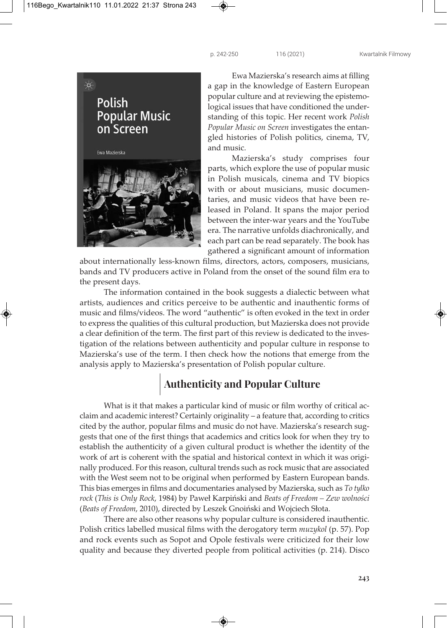

Ewa Mazierska's research aims at filling a gap in the knowledge of Eastern European popular culture and at reviewing the epistemological issues that have conditioned the understanding of this topic. Her recent work *Polish Popular Music on Screen* investigates the entangled histories of Polish politics, cinema, TV, and music.

Mazierska's study comprises four parts, which explore the use of popular music in Polish musicals, cinema and TV biopics with or about musicians, music documentaries, and music videos that have been released in Poland. It spans the major period between the inter-war years and the YouTube era. The narrative unfolds diachronically, and each part can be read separately. The book has gathered a significant amount of information

about internationally less-known films, directors, actors, composers, musicians, bands and TV producers active in Poland from the onset of the sound film era to the present days.

The information contained in the book suggests a dialectic between what artists, audiences and critics perceive to be authentic and inauthentic forms of music and films/videos. The word "authentic" is often evoked in the text in order to express the qualities of this cultural production, but Mazierska does not provide a clear definition of the term. The first part of this review is dedicated to the investigation of the relations between authenticity and popular culture in response to Mazierska's use of the term. I then check how the notions that emerge from the analysis apply to Mazierska's presentation of Polish popular culture.

### **Authenticity and Popular Culture**

What is it that makes a particular kind of music or film worthy of critical acclaim and academic interest? Certainly originality – a feature that, according to critics cited by the author, popular films and music do not have. Mazierska's research suggests that one of the first things that academics and critics look for when they try to establish the authenticity of a given cultural product is whether the identity of the work of art is coherent with the spatial and historical context in which it was originally produced. For this reason, cultural trends such as rock music that are associated with the West seem not to be original when performed by Eastern European bands. This bias emerges in films and documentaries analysed by Mazierska, such as *To tylko rock* (*This is Only Rock*, 1984) by Paweł Karpiński and *Beats of Freedom – Zew wolności* (*Beats of Freedom*, 2010), directed by Leszek Gnoiński and Wojciech Słota.

There are also other reasons why popular culture is considered inauthentic. Polish critics labelled musical films with the derogatory term *muzykol* (p. 57). Pop and rock events such as Sopot and Opole festivals were criticized for their low quality and because they diverted people from political activities (p. 214). Disco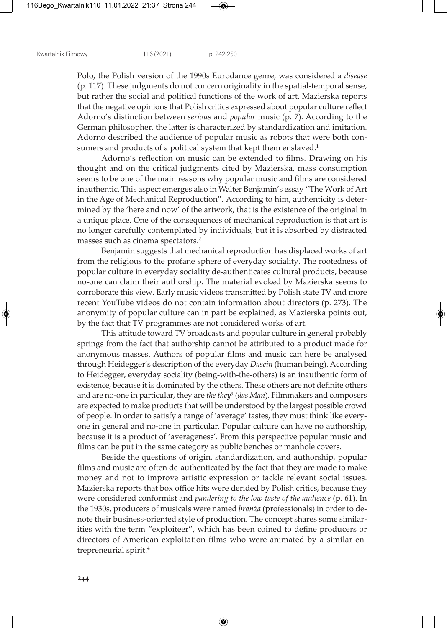Polo, the Polish version of the 1990s Eurodance genre, was considered a *disease* (p. 117). These judgments do not concern originality in the spatial-temporal sense, but rather the social and political functions of the work of art. Mazierska reports that the negative opinions that Polish critics expressed about popular culture reflect Adorno's distinction between *serious* and *popular* music (p. 7). According to the German philosopher, the latter is characterized by standardization and imitation. Adorno described the audience of popular music as robots that were both consumers and products of a political system that kept them enslaved. 1

Adorno's reflection on music can be extended to films. Drawing on his thought and on the critical judgments cited by Mazierska, mass consumption seems to be one of the main reasons why popular music and films are considered inauthentic. This aspect emerges also in Walter Benjamin's essay "The Work of Art in the Age of Mechanical Reproduction"*.* According to him, authenticity is determined by the 'here and now' of the artwork, that is the existence of the original in a unique place. One of the consequences of mechanical reproduction is that art is no longer carefully contemplated by individuals, but it is absorbed by distracted masses such as cinema spectators. 2

Benjamin suggests that mechanical reproduction has displaced works of art from the religious to the profane sphere of everyday sociality. The rootedness of popular culture in everyday sociality de-authenticates cultural products, because no-one can claim their authorship. The material evoked by Mazierska seems to corroborate this view. Early music videos transmitted by Polish state TV and more recent YouTube videos do not contain information about directors (p. 273). The anonymity of popular culture can in part be explained, as Mazierska points out, by the fact that TV programmes are not considered works of art.

This attitude toward TV broadcasts and popular culture in general probably springs from the fact that authorship cannot be attributed to a product made for anonymous masses. Authors of popular films and music can here be analysed through Heidegger's description of the everyday *Dasein* (human being). According to Heidegger, everyday sociality (being-with-the-others) is an inauthentic form of existence, because it is dominated by the others. These others are not definite others and are no-one in particular, they are *the they<sup>3</sup>* (*das Man*). Filmmakers and composers are expected to make products that will be understood by the largest possible crowd of people. In order to satisfy a range of 'average' tastes, they must think like everyone in general and no-one in particular. Popular culture can have no authorship, because it is a product of 'averageness'. From this perspective popular music and films can be put in the same category as public benches or manhole covers.

Beside the questions of origin, standardization, and authorship, popular films and music are often de-authenticated by the fact that they are made to make money and not to improve artistic expression or tackle relevant social issues. Mazierska reports that box office hits were derided by Polish critics, because they were considered conformist and *pandering to the low taste of the audience* (p. 61). In the 1930s, producers of musicals were named *branża* (professionals) in order to denote their business-oriented style of production. The concept shares some similarities with the term "exploiteer", which has been coined to define producers or directors of American exploitation films who were animated by a similar entrepreneurial spirit. 4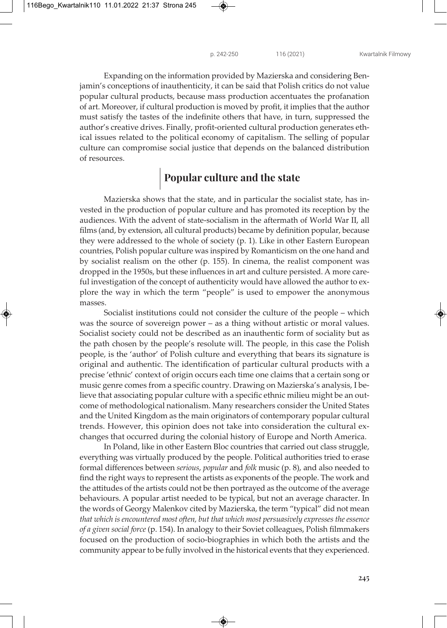Expanding on the information provided by Mazierska and considering Benjamin's conceptions of inauthenticity, it can be said that Polish critics do not value popular cultural products, because mass production accentuates the profanation of art. Moreover, if cultural production is moved by profit, it implies that the author must satisfy the tastes of the indefinite others that have, in turn, suppressed the author's creative drives. Finally, profit-oriented cultural production generates ethical issues related to the political economy of capitalism. The selling of popular culture can compromise social justice that depends on the balanced distribution of resources.

### **Popular culture and the state**

Mazierska shows that the state, and in particular the socialist state, has invested in the production of popular culture and has promoted its reception by the audiences. With the advent of state-socialism in the aftermath of World War II, all films (and, by extension, all cultural products) became by definition popular, because they were addressed to the whole of society (p. 1). Like in other Eastern European countries, Polish popular culture was inspired by Romanticism on the one hand and by socialist realism on the other (p. 155). In cinema, the realist component was dropped in the 1950s, but these influences in art and culture persisted. A more careful investigation of the concept of authenticity would have allowed the author to explore the way in which the term "people" is used to empower the anonymous masses.

Socialist institutions could not consider the culture of the people – which was the source of sovereign power – as a thing without artistic or moral values. Socialist society could not be described as an inauthentic form of sociality but as the path chosen by the people's resolute will. The people, in this case the Polish people, is the 'author' of Polish culture and everything that bears its signature is original and authentic. The identification of particular cultural products with a precise 'ethnic' context of origin occurs each time one claims that a certain song or music genre comes from a specific country. Drawing on Mazierska's analysis, I believe that associating popular culture with a specific ethnic milieu might be an outcome of methodological nationalism. Many researchers consider the United States and the United Kingdom as the main originators of contemporary popular cultural trends. However, this opinion does not take into consideration the cultural exchanges that occurred during the colonial history of Europe and North America.

In Poland, like in other Eastern Bloc countries that carried out class struggle, everything was virtually produced by the people. Political authorities tried to erase formal differences between *serious*, *popular* and *folk* music (p. 8), and also needed to find the right ways to represent the artists as exponents of the people. The work and the attitudes of the artists could not be then portrayed as the outcome of the average behaviours. A popular artist needed to be typical, but not an average character. In the words of Georgy Malenkov cited by Mazierska, the term "typical" did not mean *that which isencountered most often, but that which most persuasively expressestheessence of a given social force* (p. 154). In analogy to their Soviet colleagues, Polish filmmakers focused on the production of socio-biographies in which both the artists and the community appear to be fully involved in the historical events that they experienced.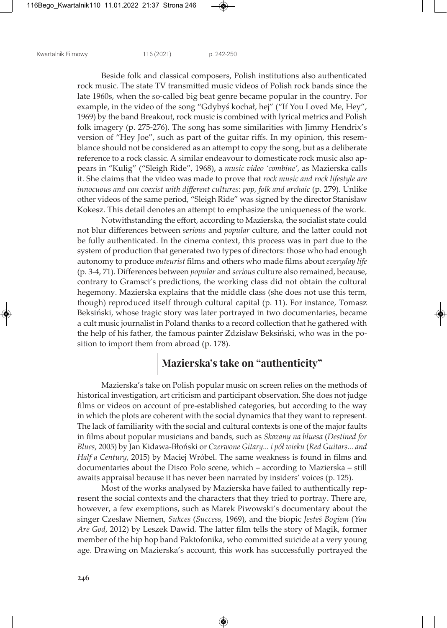Beside folk and classical composers, Polish institutions also authenticated rock music. The state TV transmitted music videos of Polish rock bands since the late 1960s, when the so-called big beat genre became popular in the country. For example, in the video of the song "Gdybyś kochał, hej" ("If You Loved Me, Hey", 1969) by the band Breakout, rock music is combined with lyrical metrics and Polish folk imagery (p. 275-276). The song has some similarities with Jimmy Hendrix's version of "Hey Joe", such as part of the guitar riffs. In my opinion, this resemblance should not be considered as an attempt to copy the song, but as a deliberate reference to a rock classic. A similar endeavour to domesticate rock music also appears in "Kulig" ("Sleigh Ride", 1968), a *music video 'combine'*, as Mazierska calls it. She claims that the video was made to prove that *rock music and rock lifestyle are innocuous and can coexist with different cultures: pop, folk and archaic* (p. 279). Unlike other videos of the same period, "Sleigh Ride" was signed by the director Stanisław Kokesz. This detail denotes an attempt to emphasize the uniqueness of the work.

Notwithstanding the effort, according to Mazierska, the socialist state could not blur differences between *serious* and *popular* culture, and the latter could not be fully authenticated. In the cinema context, this process was in part due to the system of production that generated two types of directors: those who had enough autonomy to produce *auteurist* films and others who made films about *everyday life* (p. 3-4, 71). Differences between *popular* and *serious* culture also remained, because, contrary to Gramsci's predictions, the working class did not obtain the cultural hegemony. Mazierska explains that the middle class (she does not use this term, though) reproduced itself through cultural capital (p. 11). For instance, Tomasz Beksiński, whose tragic story was later portrayed in two documentaries, became a cult music journalist in Poland thanks to a record collection that he gathered with the help of his father, the famous painter Zdzisław Beksiński, who was in the position to import them from abroad (p. 178).

### **Mazierska's take on "authenticity"**

Mazierska's take on Polish popular music on screen relies on the methods of historical investigation, art criticism and participant observation. She does not judge films or videos on account of pre-established categories, but according to the way in which the plots are coherent with the social dynamics that they want to represent. The lack of familiarity with the social and cultural contexts is one of the major faults in films about popular musicians and bands, such as *Skazany na bluesa* (*Destined for Blues*, 2005) by Jan Kidawa-Błoński or *Czerwone Gitary... i pół wieku* (*Red Guitars... and Half a Century*, 2015) by Maciej Wróbel. The same weakness is found in films and documentaries about the Disco Polo scene, which – according to Mazierska – still awaits appraisal because it has never been narrated by insiders' voices (p. 125).

Most of the works analysed by Mazierska have failed to authentically represent the social contexts and the characters that they tried to portray. There are, however, a few exemptions, such as Marek Piwowski's documentary about the singer Czesław Niemen, *Sukces* (*Success*, 1969), and the biopic *Jesteś Bogiem* (*You Are God*, 2012) by Leszek Dawid. The latter film tells the story of Magik, former member of the hip hop band Paktofonika, who committed suicide at a very young age. Drawing on Mazierska's account, this work has successfully portrayed the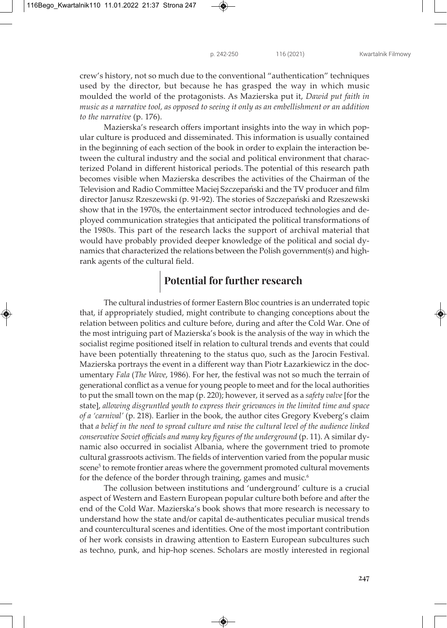crew's history, not so much due to the conventional "authentication" techniques used by the director, but because he has grasped the way in which music moulded the world of the protagonists. As Mazierska put it, *Dawid put faith in music as a narrative tool, as opposed to seeing it only as an embellishment or an addition to the narrative* (p. 176).

Mazierska's research offers important insights into the way in which popular culture is produced and disseminated. This information is usually contained in the beginning of each section of the book in order to explain the interaction between the cultural industry and the social and political environment that characterized Poland in different historical periods. The potential of this research path becomes visible when Mazierska describes the activities of the Chairman of the Television and Radio Committee Maciej Szczepański and the TV producer and film director Janusz Rzeszewski (p. 91-92). The stories of Szczepański and Rzeszewski show that in the 1970s, the entertainment sector introduced technologies and deployed communication strategies that anticipated the political transformations of the 1980s. This part of the research lacks the support of archival material that would have probably provided deeper knowledge of the political and social dynamics that characterized the relations between the Polish government(s) and highrank agents of the cultural field.

### **Potential for further research**

The cultural industries of former Eastern Bloc countries is an underrated topic that, if appropriately studied, might contribute to changing conceptions about the relation between politics and culture before, during and after the Cold War. One of the most intriguing part of Mazierska's book is the analysis of the way in which the socialist regime positioned itself in relation to cultural trends and events that could have been potentially threatening to the status quo, such as the Jarocin Festival. Mazierska portrays the event in a different way than Piotr Łazarkiewicz in the documentary *Fala* (*The Wave*, 1986). For her, the festival was not so much the terrain of generational conflict as a venue for young people to meet and for the local authorities to put the small town on the map (p. 220); however, it served as a *safety valve* [for the state], *allowing disgruntled youth to express their grievances in the limited time and space of a 'carnival'* (p. 218). Earlier in the book, the author cites Gregory Kveberg's claim that *a belief in the need to spread culture and raise the cultural level of the audience linked conservative Soviet officials and many key figures of the underground* (p. 11). A similar dynamic also occurred in socialist Albania, where the government tried to promote cultural grassroots activism. The fields of intervention varied from the popular music scene<sup>5</sup> to remote frontier areas where the government promoted cultural movements for the defence of the border through training, games and music. 6

The collusion between institutions and 'underground' culture is a crucial aspect of Western and Eastern European popular culture both before and after the end of the Cold War. Mazierska's book shows that more research is necessary to understand how the state and/or capital de-authenticates peculiar musical trends and countercultural scenes and identities. One of the most important contribution of her work consists in drawing attention to Eastern European subcultures such as techno, punk, and hip-hop scenes. Scholars are mostly interested in regional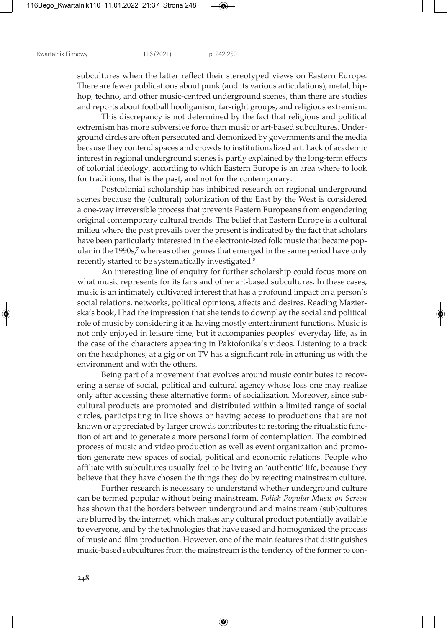subcultures when the latter reflect their stereotyped views on Eastern Europe. There are fewer publications about punk (and its various articulations), metal, hiphop, techno, and other music-centred underground scenes, than there are studies and reports about football hooliganism, far-right groups, and religious extremism.

This discrepancy is not determined by the fact that religious and political extremism has more subversive force than music or art-based subcultures. Underground circles are often persecuted and demonized by governments and the media because they contend spaces and crowds to institutionalized art. Lack of academic interest in regional underground scenes is partly explained by the long-term effects of colonial ideology, according to which Eastern Europe is an area where to look for traditions, that is the past, and not for the contemporary.

Postcolonial scholarship has inhibited research on regional underground scenes because the (cultural) colonization of the East by the West is considered a one-way irreversible process that prevents Eastern Europeans from engendering original contemporary cultural trends. The belief that Eastern Europe is a cultural milieu where the past prevails over the present is indicated by the fact that scholars have been particularly interested in the electronic-ized folk music that became popular in the 1990s, <sup>7</sup> whereas other genres that emerged in the same period have only recently started to be systematically investigated. 8

An interesting line of enquiry for further scholarship could focus more on what music represents for its fans and other art-based subcultures. In these cases, music is an intimately cultivated interest that has a profound impact on a person's social relations, networks, political opinions, affects and desires. Reading Mazierska's book, I had the impression that she tends to downplay the social and political role of music by considering it as having mostly entertainment functions. Music is not only enjoyed in leisure time, but it accompanies peoples' everyday life, as in the case of the characters appearing in Paktofonika's videos. Listening to a track on the headphones, at a gig or on TV has a significant role in attuning us with the environment and with the others.

Being part of a movement that evolves around music contributes to recovering a sense of social, political and cultural agency whose loss one may realize only after accessing these alternative forms of socialization. Moreover, since subcultural products are promoted and distributed within a limited range of social circles, participating in live shows or having access to productions that are not known or appreciated by larger crowds contributes to restoring the ritualistic function of art and to generate a more personal form of contemplation. The combined process of music and video production as well as event organization and promotion generate new spaces of social, political and economic relations. People who affiliate with subcultures usually feel to be living an 'authentic' life, because they believe that they have chosen the things they do by rejecting mainstream culture.

Further research is necessary to understand whether underground culture can be termed popular without being mainstream. *Polish Popular Music on Screen* has shown that the borders between underground and mainstream (sub)cultures are blurred by the internet, which makes any cultural product potentially available to everyone, and by the technologies that have eased and homogenized the process of music and film production. However, one of the main features that distinguishes music-based subcultures from the mainstream is the tendency of the former to con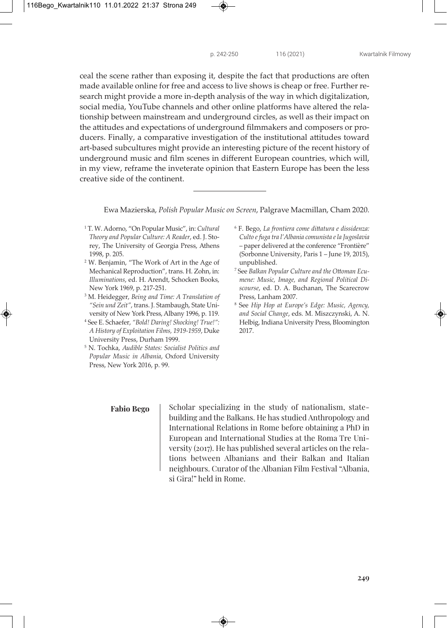ceal the scene rather than exposing it, despite the fact that productions are often made available online for free and access to live shows is cheap or free. Further research might provide a more in-depth analysis of the way in which digitalization, social media, YouTube channels and other online platforms have altered the relationship between mainstream and underground circles, as well as their impact on the attitudes and expectations of underground filmmakers and composers or producers. Finally, a comparative investigation of the institutional attitudes toward art-based subcultures might provide an interesting picture of the recent history of underground music and film scenes in different European countries, which will, in my view, reframe the inveterate opinion that Eastern Europe has been the less creative side of the continent.

Ewa Mazierska, *Polish Popular Music on Screen*, Palgrave Macmillan, Cham 2020.

- <sup>1</sup> T. W. Adorno, "On Popular Music", in: *Cultural Theory and Popular Culture: A Reader*, ed. J. Storey, The University of Georgia Press, Athens 1998, p. 205.
- <sup>2</sup> W. Benjamin, "The Work of Art in the Age of Mechanical Reproduction", trans. H. Zohn, in: *Illuminations*, ed. H. Arendt, Schocken Books, New York 1969, p. 217-251.
- <sup>3</sup> M. Heidegger, *Being and Time: A Translation of "Sein und Zeit"*, trans. J. Stambaugh, State University of New York Press, Albany 1996, p. 119.
- <sup>4</sup> See E. Schaefer, *"Bold! Daring! Shocking! True!": A History of Exploitation Films, 1919-1959*, Duke University Press, Durham 1999.
- <sup>5</sup> N. Tochka, *Audible States: Socialist Politics and Popular Music in Albania*, Oxford University Press, New York 2016, p. 99.

### **Fabio Bego**

Scholar specializing in the study of nationalism, statebuilding and the Balkans. He has studied Anthropology and International Relations in Rome before obtaining a PhD in European and International Studies at the Roma Tre University (2017). He has published several articles on the relations between Albanians and their Balkan and Italian neighbours. Curator of the Albanian Film Festival "Albania, si Gira!" held in Rome.

- <sup>6</sup> F. Bego, *La frontiera come dittatura e dissidenza: Culto e fuga tra l'Albania comunista e la Jugoslavia* – paper delivered at the conference "Frontière" (Sorbonne University, Paris 1 – June 19, 2015), unpublished.
- <sup>7</sup> See *Balkan Popular Culture and the Ottoman Ecumene: Music, Image, and Regional Political Discourse*, ed. D. A. Buchanan, The Scarecrow Press, Lanham 2007.
- <sup>8</sup> See *Hip Hop at Europe's Edge: Music, Agency, and Social Change*, eds. M. Miszczynski, A. N. Helbig, Indiana University Press, Bloomington 2017.